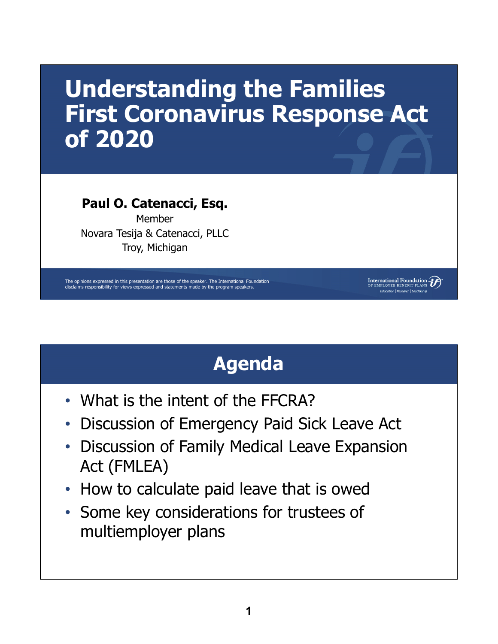# **Understanding the Families First Coronavirus Response Act of 2020**

#### **Paul O. Catenacci, Esq.**

Member Novara Tesija & Catenacci, PLLC Troy, Michigan

The opinions expressed in this presentation are those of the speaker. The International Foundation disclaims responsibility for views expressed and statements made by the program speakers.

# **Agenda**

International Foundation D Education | Research | Leadership

- What is the intent of the FFCRA?
- Discussion of Emergency Paid Sick Leave Act
- Discussion of Family Medical Leave Expansion Act (FMLEA)
- How to calculate paid leave that is owed
- Some key considerations for trustees of multiemployer plans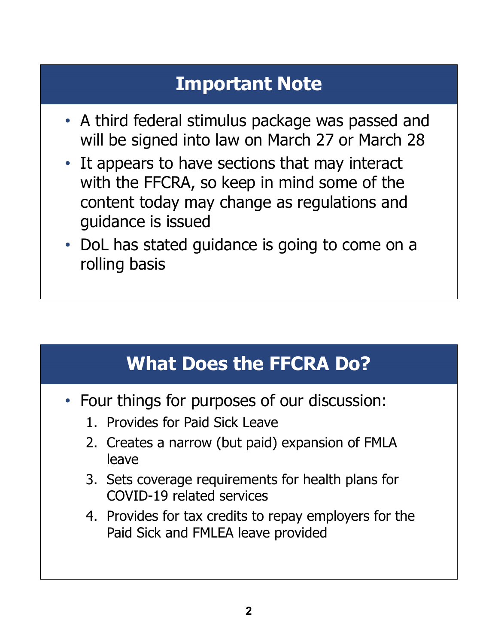## **Important Note**

- A third federal stimulus package was passed and will be signed into law on March 27 or March 28
- It appears to have sections that may interact with the FFCRA, so keep in mind some of the content today may change as regulations and guidance is issued
- DoL has stated guidance is going to come on a rolling basis

## **What Does the FFCRA Do?**

- Four things for purposes of our discussion:
	- 1. Provides for Paid Sick Leave
	- 2. Creates a narrow (but paid) expansion of FMLA leave
	- 3. Sets coverage requirements for health plans for COVID-19 related services
	- 4. Provides for tax credits to repay employers for the Paid Sick and FMLEA leave provided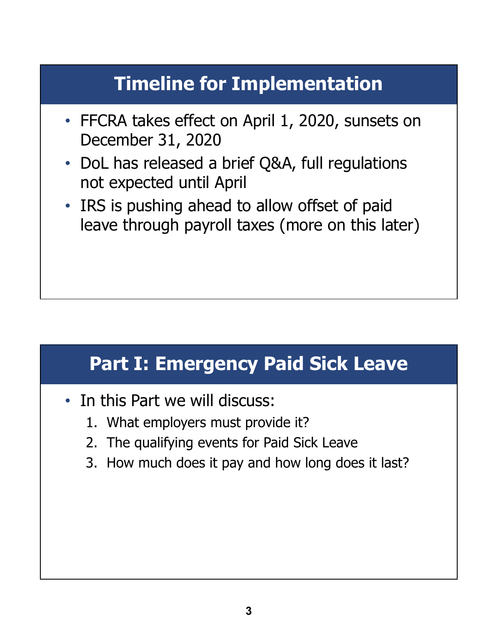# **Timeline for Implementation**

- FFCRA takes effect on April 1, 2020, sunsets on December 31, 2020
- DoL has released a brief Q&A, full regulations not expected until April
- IRS is pushing ahead to allow offset of paid leave through payroll taxes (more on this later)

### **Part I: Emergency Paid Sick Leave**

- In this Part we will discuss:
	- 1. What employers must provide it?
	- 2. The qualifying events for Paid Sick Leave
	- 3. How much does it pay and how long does it last?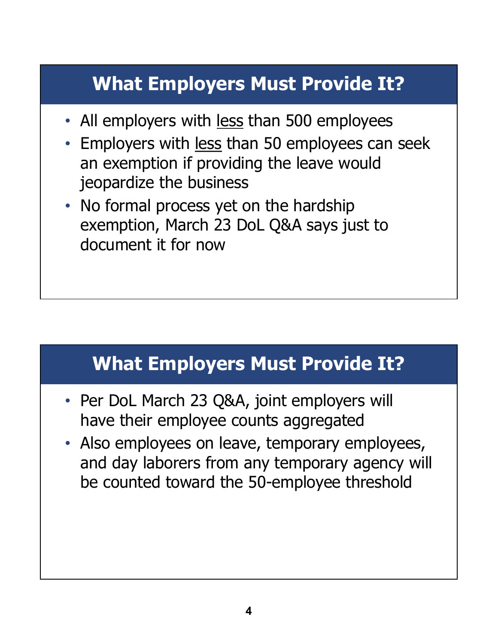# **What Employers Must Provide It?**

- All employers with less than 500 employees
- Employers with less than 50 employees can seek an exemption if providing the leave would jeopardize the business
- No formal process yet on the hardship exemption, March 23 DoL Q&A says just to document it for now

### **What Employers Must Provide It?**

- Per DoL March 23 Q&A, joint employers will have their employee counts aggregated
- Also employees on leave, temporary employees, and day laborers from any temporary agency will be counted toward the 50-employee threshold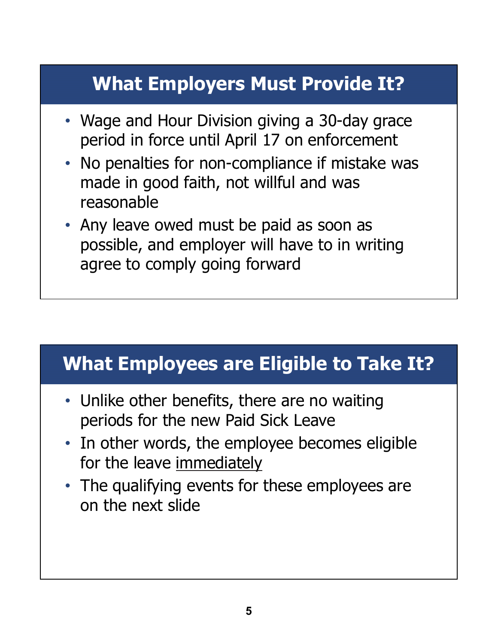# **What Employers Must Provide It?**

- Wage and Hour Division giving a 30-day grace period in force until April 17 on enforcement
- No penalties for non-compliance if mistake was made in good faith, not willful and was reasonable
- Any leave owed must be paid as soon as possible, and employer will have to in writing agree to comply going forward

### **What Employees are Eligible to Take It?**

- Unlike other benefits, there are no waiting periods for the new Paid Sick Leave
- In other words, the employee becomes eligible for the leave immediately
- The qualifying events for these employees are on the next slide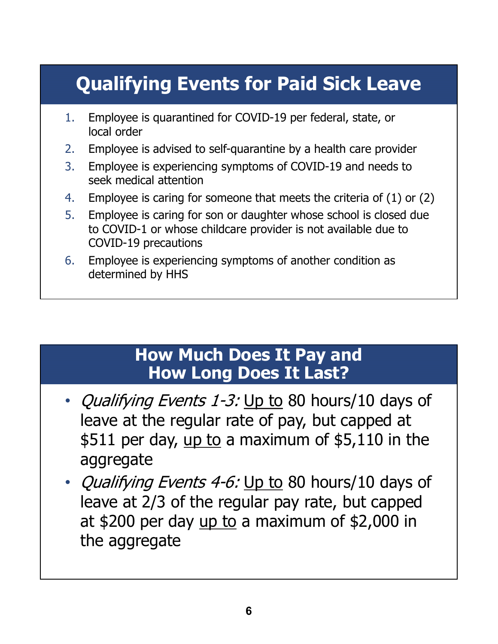# **Qualifying Events for Paid Sick Leave**

- 1. Employee is quarantined for COVID-19 per federal, state, or local order
- 2. Employee is advised to self-quarantine by a health care provider
- 3. Employee is experiencing symptoms of COVID-19 and needs to seek medical attention
- 4. Employee is caring for someone that meets the criteria of (1) or (2)
- 5. Employee is caring for son or daughter whose school is closed due to COVID-1 or whose childcare provider is not available due to COVID-19 precautions
- 6. Employee is experiencing symptoms of another condition as determined by HHS

#### **How Much Does It Pay and How Long Does It Last?**

- Qualifying Events 1-3: Up to 80 hours/10 days of leave at the regular rate of pay, but capped at \$511 per day, up to a maximum of  $$5,110$  in the aggregate
- Qualifying Events 4-6: Up to 80 hours/10 days of leave at 2/3 of the regular pay rate, but capped at \$200 per day  $\mu$  to a maximum of \$2,000 in the aggregate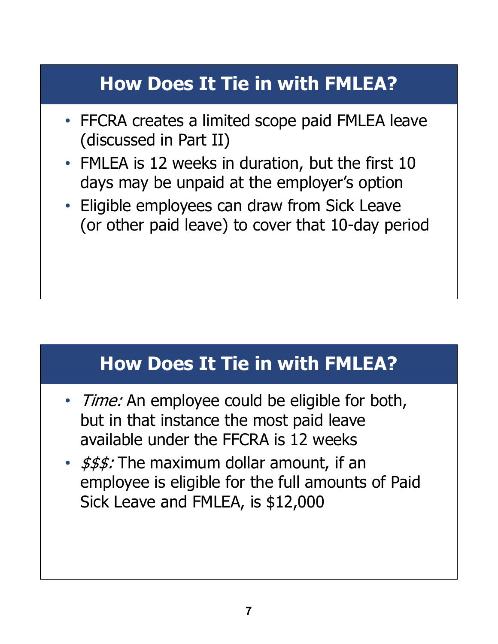# **How Does It Tie in with FMLEA?**

- FFCRA creates a limited scope paid FMLEA leave (discussed in Part II)
- FMLEA is 12 weeks in duration, but the first 10 days may be unpaid at the employer's option
- Eligible employees can draw from Sick Leave (or other paid leave) to cover that 10-day period

### **How Does It Tie in with FMLEA?**

- Time: An employee could be eligible for both, but in that instance the most paid leave available under the FFCRA is 12 weeks
- $\frac{2}{3}$   $\frac{2}{3}$   $\frac{2}{3}$   $\frac{2}{3}$  The maximum dollar amount, if an employee is eligible for the full amounts of Paid Sick Leave and FMLEA, is \$12,000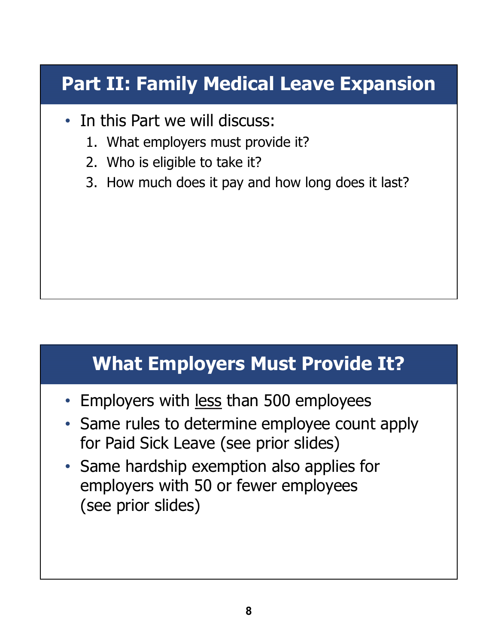# **Part II: Family Medical Leave Expansion**

- In this Part we will discuss:
	- 1. What employers must provide it?
	- 2. Who is eligible to take it?
	- 3. How much does it pay and how long does it last?

### **What Employers Must Provide It?**

- Employers with less than 500 employees
- Same rules to determine employee count apply for Paid Sick Leave (see prior slides)
- Same hardship exemption also applies for employers with 50 or fewer employees (see prior slides)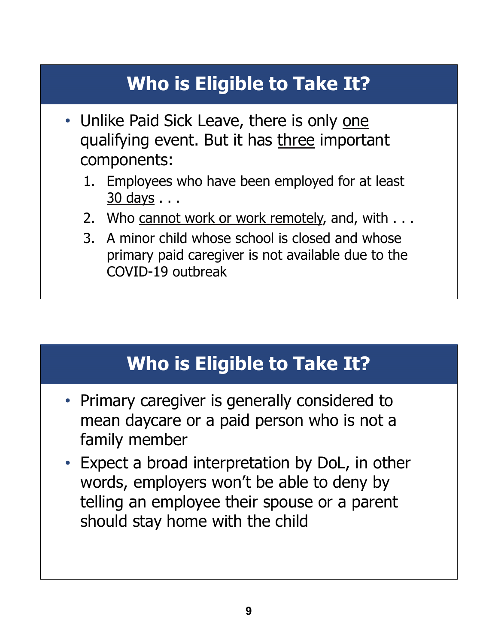# **Who is Eligible to Take It?**

- Unlike Paid Sick Leave, there is only one qualifying event. But it has three important components:
	- 1. Employees who have been employed for at least 30 days . . .
	- 2. Who cannot work or work remotely, and, with . . .
	- 3. A minor child whose school is closed and whose primary paid caregiver is not available due to the COVID-19 outbreak

## **Who is Eligible to Take It?**

- Primary caregiver is generally considered to mean daycare or a paid person who is not a family member
- Expect a broad interpretation by DoL, in other words, employers won't be able to deny by telling an employee their spouse or a parent should stay home with the child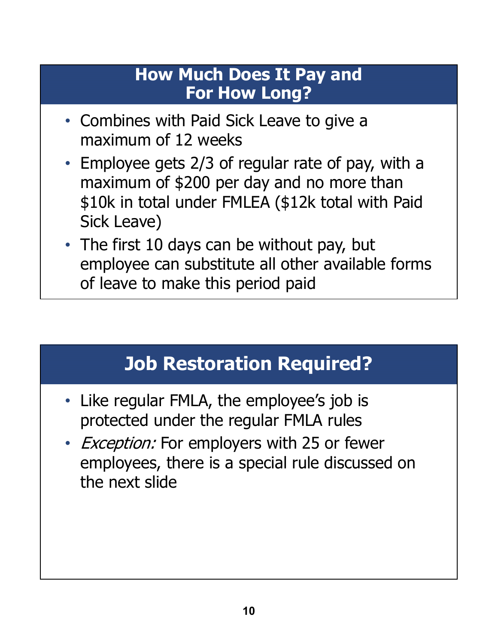#### **How Much Does It Pay and For How Long?**

- Combines with Paid Sick Leave to give a maximum of 12 weeks
- Employee gets 2/3 of regular rate of pay, with a maximum of \$200 per day and no more than \$10k in total under FMLEA (\$12k total with Paid Sick Leave)
- The first 10 days can be without pay, but employee can substitute all other available forms of leave to make this period paid

## **Job Restoration Required?**

- Like regular FMLA, the employee's job is protected under the regular FMLA rules
- Exception: For employers with 25 or fewer employees, there is a special rule discussed on the next slide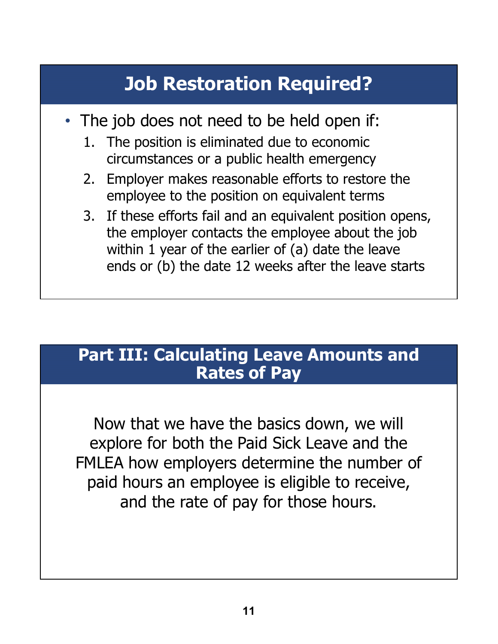# **Job Restoration Required?**

- The job does not need to be held open if:
	- 1. The position is eliminated due to economic circumstances or a public health emergency
	- 2. Employer makes reasonable efforts to restore the employee to the position on equivalent terms
	- 3. If these efforts fail and an equivalent position opens, the employer contacts the employee about the job within 1 year of the earlier of (a) date the leave ends or (b) the date 12 weeks after the leave starts

#### **Part III: Calculating Leave Amounts and Rates of Pay**

Now that we have the basics down, we will explore for both the Paid Sick Leave and the FMLEA how employers determine the number of paid hours an employee is eligible to receive, and the rate of pay for those hours.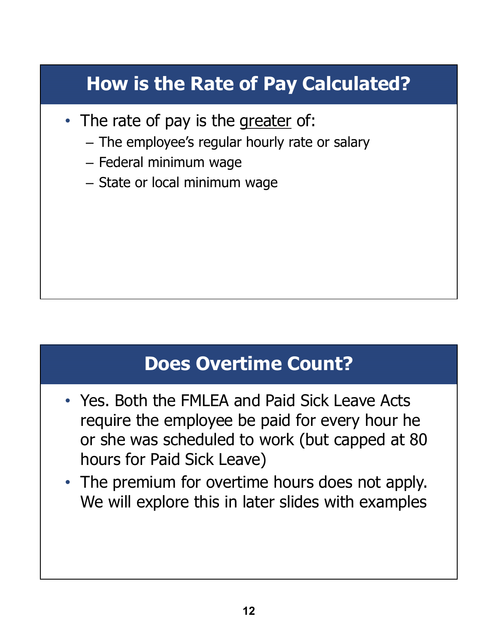# **How is the Rate of Pay Calculated?**

- The rate of pay is the greater of:
	- The employee's regular hourly rate or salary
	- Federal minimum wage
	- State or local minimum wage

### **Does Overtime Count?**

- Yes. Both the FMLEA and Paid Sick Leave Acts require the employee be paid for every hour he or she was scheduled to work (but capped at 80 hours for Paid Sick Leave)
- The premium for overtime hours does not apply. We will explore this in later slides with examples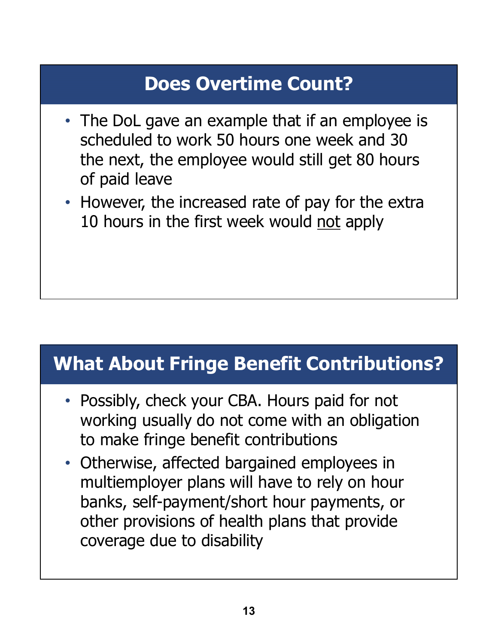# **Does Overtime Count?**

- The DoL gave an example that if an employee is scheduled to work 50 hours one week and 30 the next, the employee would still get 80 hours of paid leave
- However, the increased rate of pay for the extra 10 hours in the first week would not apply

### **What About Fringe Benefit Contributions?**

- Possibly, check your CBA. Hours paid for not working usually do not come with an obligation to make fringe benefit contributions
- Otherwise, affected bargained employees in multiemployer plans will have to rely on hour banks, self-payment/short hour payments, or other provisions of health plans that provide coverage due to disability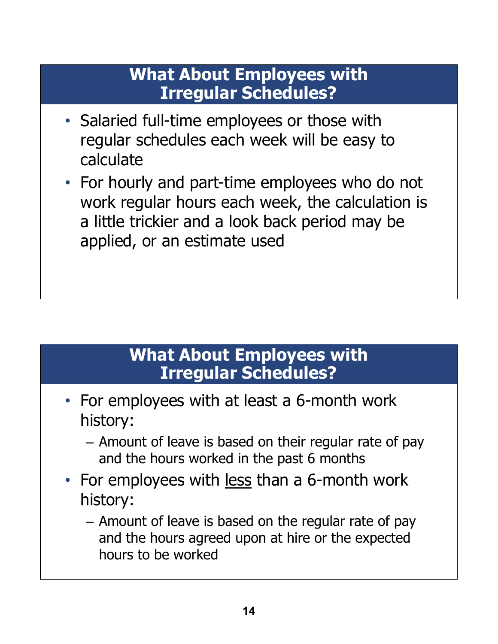#### **What About Employees with Irregular Schedules?**

- Salaried full-time employees or those with regular schedules each week will be easy to calculate
- For hourly and part-time employees who do not work regular hours each week, the calculation is a little trickier and a look back period may be applied, or an estimate used

#### **What About Employees with Irregular Schedules?**

- For employees with at least a 6-month work history:
	- Amount of leave is based on their regular rate of pay and the hours worked in the past 6 months
- For employees with <u>less</u> than a 6-month work history:
	- Amount of leave is based on the regular rate of pay and the hours agreed upon at hire or the expected hours to be worked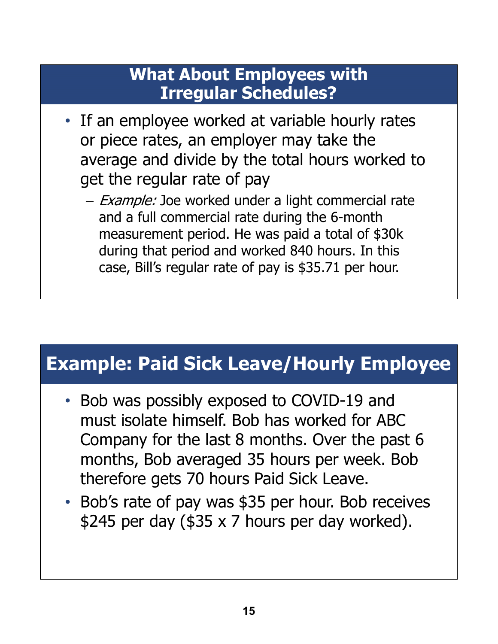#### **What About Employees with Irregular Schedules?**

- If an employee worked at variable hourly rates or piece rates, an employer may take the average and divide by the total hours worked to get the regular rate of pay
	- Example: Joe worked under a light commercial rate and a full commercial rate during the 6-month measurement period. He was paid a total of \$30k during that period and worked 840 hours. In this case, Bill's regular rate of pay is \$35.71 per hour.

### **Example: Paid Sick Leave/Hourly Employee**

- Bob was possibly exposed to COVID-19 and must isolate himself. Bob has worked for ABC Company for the last 8 months. Over the past 6 months, Bob averaged 35 hours per week. Bob therefore gets 70 hours Paid Sick Leave.
- Bob's rate of pay was \$35 per hour. Bob receives \$245 per day (\$35 x 7 hours per day worked).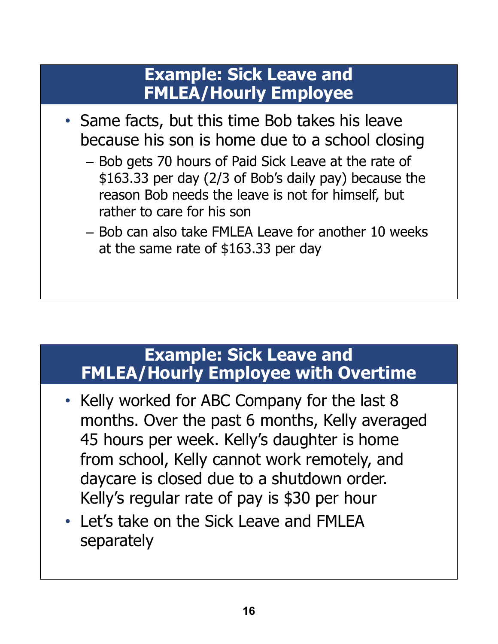#### **Example: Sick Leave and FMLEA/Hourly Employee**

- Same facts, but this time Bob takes his leave because his son is home due to a school closing
	- Bob gets 70 hours of Paid Sick Leave at the rate of \$163.33 per day (2/3 of Bob's daily pay) because the reason Bob needs the leave is not for himself, but rather to care for his son
	- Bob can also take FMLEA Leave for another 10 weeks at the same rate of \$163.33 per day

#### **Example: Sick Leave and FMLEA/Hourly Employee with Overtime**

- Kelly worked for ABC Company for the last 8 months. Over the past 6 months, Kelly averaged 45 hours per week. Kelly's daughter is home from school, Kelly cannot work remotely, and daycare is closed due to a shutdown order. Kelly's regular rate of pay is \$30 per hour
- Let's take on the Sick Leave and FMLEA separately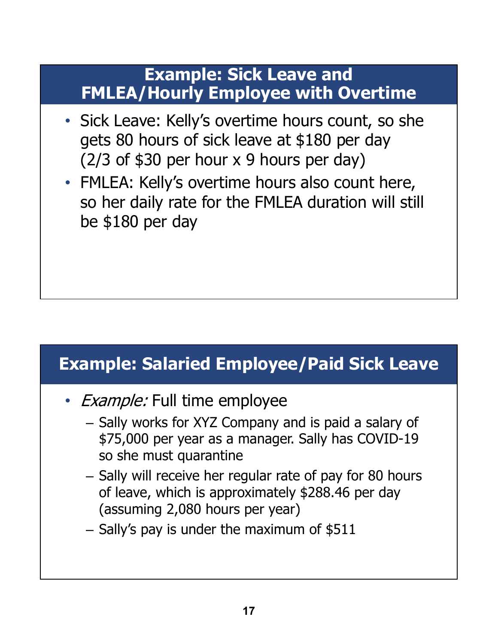#### **Example: Sick Leave and FMLEA/Hourly Employee with Overtime**

- Sick Leave: Kelly's overtime hours count, so she gets 80 hours of sick leave at \$180 per day  $(2/3$  of \$30 per hour x 9 hours per day)
- FMLEA: Kelly's overtime hours also count here, so her daily rate for the FMLEA duration will still be \$180 per day

### **Example: Salaried Employee/Paid Sick Leave**

- *Example:* Full time employee
	- Sally works for XYZ Company and is paid a salary of \$75,000 per year as a manager. Sally has COVID-19 so she must quarantine
	- Sally will receive her regular rate of pay for 80 hours of leave, which is approximately \$288.46 per day (assuming 2,080 hours per year)
	- Sally's pay is under the maximum of \$511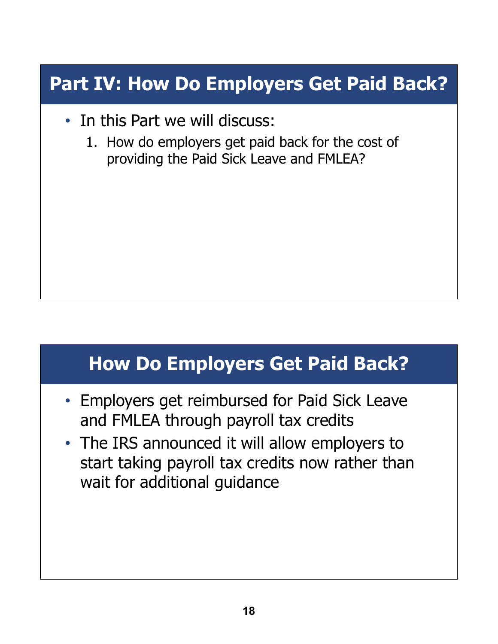## **Part IV: How Do Employers Get Paid Back?**

- In this Part we will discuss:
	- 1. How do employers get paid back for the cost of providing the Paid Sick Leave and FMLEA?

### **How Do Employers Get Paid Back?**

- Employers get reimbursed for Paid Sick Leave and FMLEA through payroll tax credits
- The IRS announced it will allow employers to start taking payroll tax credits now rather than wait for additional guidance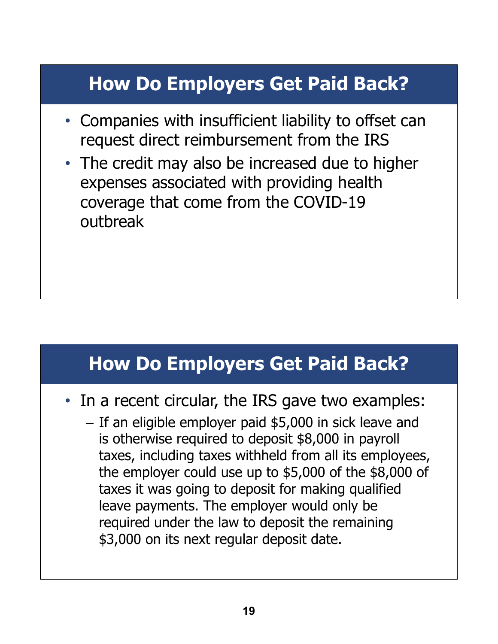## **How Do Employers Get Paid Back?**

- Companies with insufficient liability to offset can request direct reimbursement from the IRS
- The credit may also be increased due to higher expenses associated with providing health coverage that come from the COVID-19 outbreak

### **How Do Employers Get Paid Back?**

- In a recent circular, the IRS gave two examples:
	- If an eligible employer paid \$5,000 in sick leave and is otherwise required to deposit \$8,000 in payroll taxes, including taxes withheld from all its employees, the employer could use up to \$5,000 of the \$8,000 of taxes it was going to deposit for making qualified leave payments. The employer would only be required under the law to deposit the remaining \$3,000 on its next regular deposit date.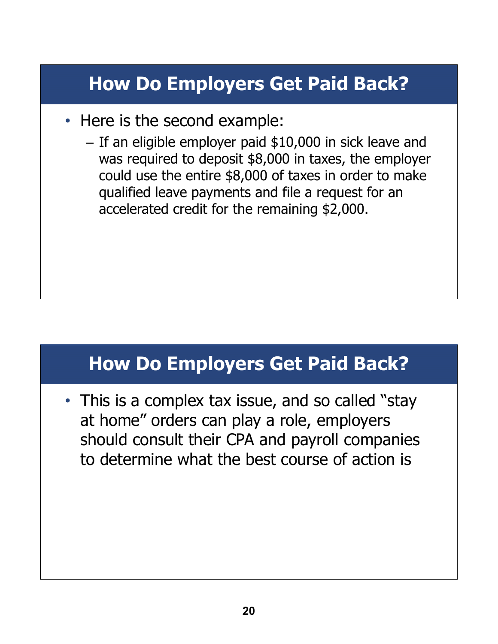# **How Do Employers Get Paid Back?**

- Here is the second example:
	- If an eligible employer paid \$10,000 in sick leave and was required to deposit \$8,000 in taxes, the employer could use the entire \$8,000 of taxes in order to make qualified leave payments and file a request for an accelerated credit for the remaining \$2,000.

### **How Do Employers Get Paid Back?**

• This is a complex tax issue, and so called "stay at home" orders can play a role, employers should consult their CPA and payroll companies to determine what the best course of action is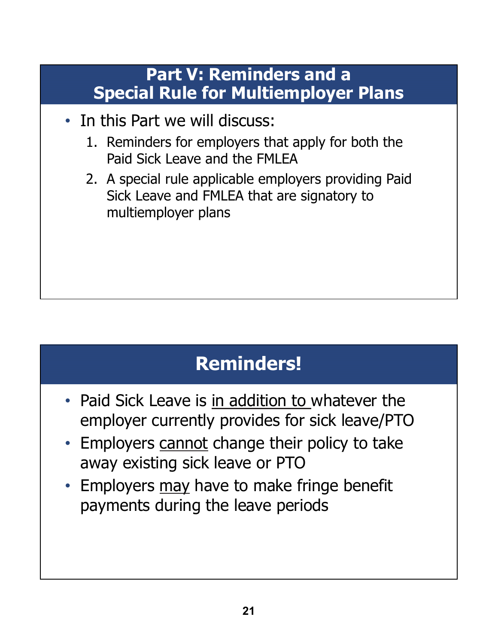#### **Part V: Reminders and a Special Rule for Multiemployer Plans**

- In this Part we will discuss:
	- 1. Reminders for employers that apply for both the Paid Sick Leave and the FMLEA
	- 2. A special rule applicable employers providing Paid Sick Leave and FMLEA that are signatory to multiemployer plans

# **Reminders!**

- Paid Sick Leave is in addition to whatever the employer currently provides for sick leave/PTO
- Employers cannot change their policy to take away existing sick leave or PTO
- Employers may have to make fringe benefit payments during the leave periods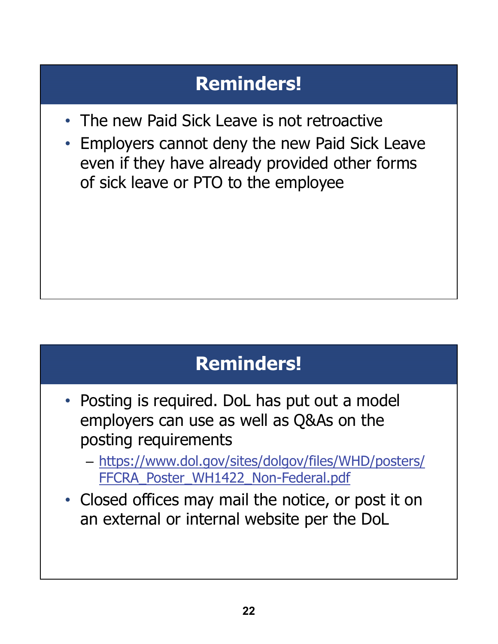# **Reminders!**

- The new Paid Sick Leave is not retroactive
- Employers cannot deny the new Paid Sick Leave even if they have already provided other forms of sick leave or PTO to the employee

## **Reminders!**

- Posting is required. DoL has put out a model employers can use as well as Q&As on the posting requirements
	- https://www.dol.gov/sites/dolgov/files/WHD/posters/ FFCRA\_Poster\_WH1422\_Non-Federal.pdf
- Closed offices may mail the notice, or post it on an external or internal website per the DoL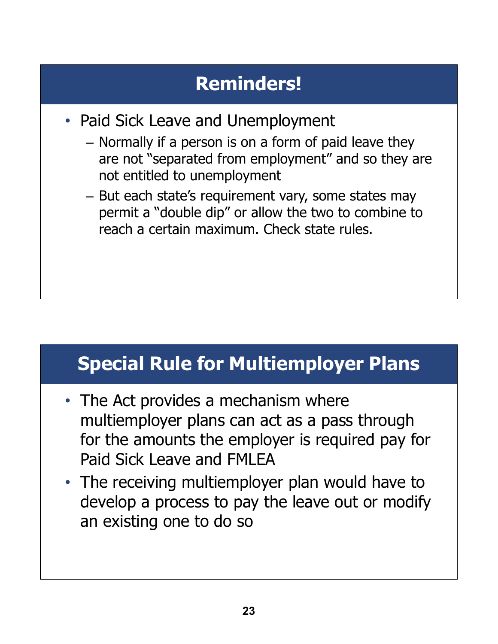# **Reminders!**

- Paid Sick Leave and Unemployment
	- Normally if a person is on a form of paid leave they are not "separated from employment" and so they are not entitled to unemployment
	- But each state's requirement vary, some states may permit a "double dip" or allow the two to combine to reach a certain maximum. Check state rules.

## **Special Rule for Multiemployer Plans**

- The Act provides a mechanism where multiemployer plans can act as a pass through for the amounts the employer is required pay for Paid Sick Leave and FMLEA
- The receiving multiemployer plan would have to develop a process to pay the leave out or modify an existing one to do so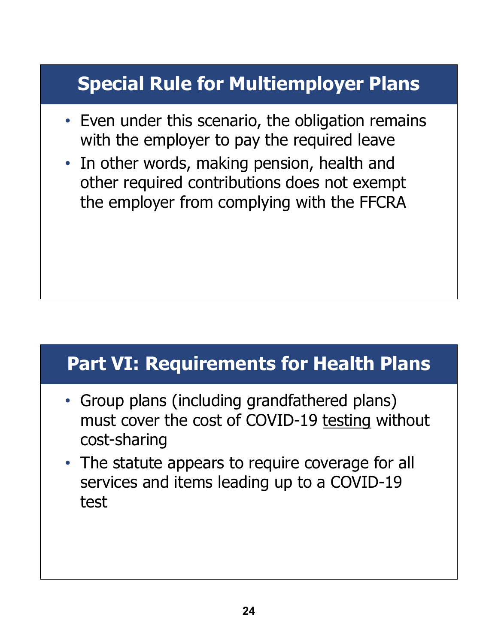# **Special Rule for Multiemployer Plans**

- Even under this scenario, the obligation remains with the employer to pay the required leave
- In other words, making pension, health and other required contributions does not exempt the employer from complying with the FFCRA

### **Part VI: Requirements for Health Plans**

- Group plans (including grandfathered plans) must cover the cost of COVID-19 testing without cost-sharing
- The statute appears to require coverage for all services and items leading up to a COVID-19 test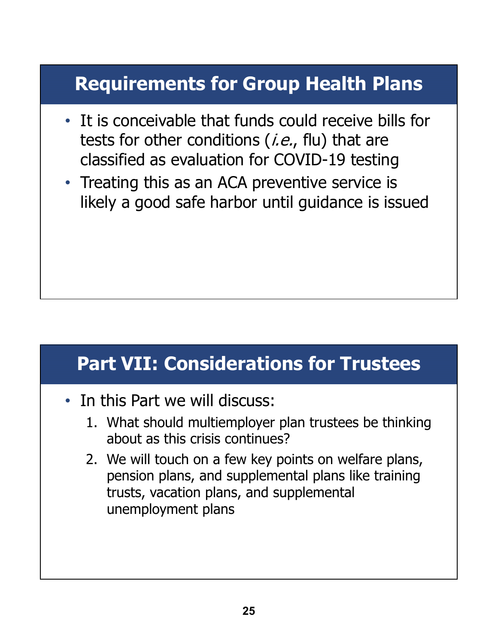# **Requirements for Group Health Plans**

- It is conceivable that funds could receive bills for tests for other conditions  $(i.e.,$  flu) that are classified as evaluation for COVID-19 testing
- Treating this as an ACA preventive service is likely a good safe harbor until guidance is issued

### **Part VII: Considerations for Trustees**

- In this Part we will discuss:
	- 1. What should multiemployer plan trustees be thinking about as this crisis continues?
	- 2. We will touch on a few key points on welfare plans, pension plans, and supplemental plans like training trusts, vacation plans, and supplemental unemployment plans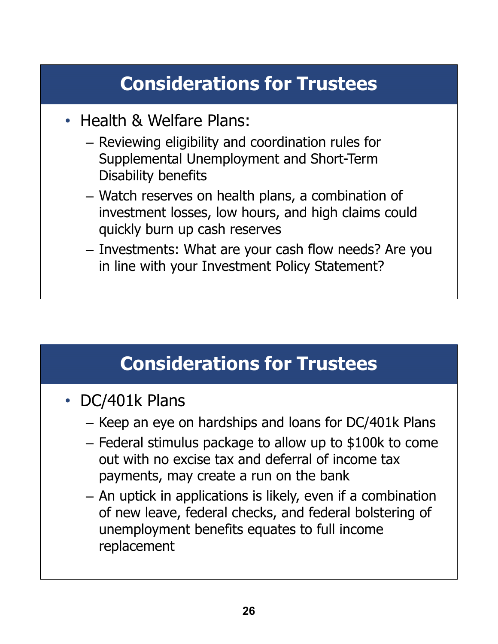- Health & Welfare Plans:
	- Reviewing eligibility and coordination rules for Supplemental Unemployment and Short-Term Disability benefits
	- Watch reserves on health plans, a combination of investment losses, low hours, and high claims could quickly burn up cash reserves
	- Investments: What are your cash flow needs? Are you in line with your Investment Policy Statement?

- DC/401k Plans
	- Keep an eye on hardships and loans for DC/401k Plans
	- Federal stimulus package to allow up to \$100k to come out with no excise tax and deferral of income tax payments, may create a run on the bank
	- An uptick in applications is likely, even if a combination of new leave, federal checks, and federal bolstering of unemployment benefits equates to full income replacement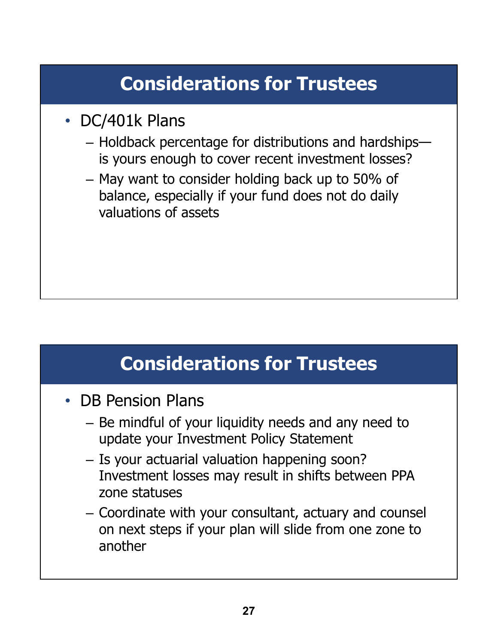- DC/401k Plans
	- Holdback percentage for distributions and hardships is yours enough to cover recent investment losses?
	- May want to consider holding back up to 50% of balance, especially if your fund does not do daily valuations of assets

- DB Pension Plans
	- Be mindful of your liquidity needs and any need to update your Investment Policy Statement
	- Is your actuarial valuation happening soon? Investment losses may result in shifts between PPA zone statuses
	- Coordinate with your consultant, actuary and counsel on next steps if your plan will slide from one zone to another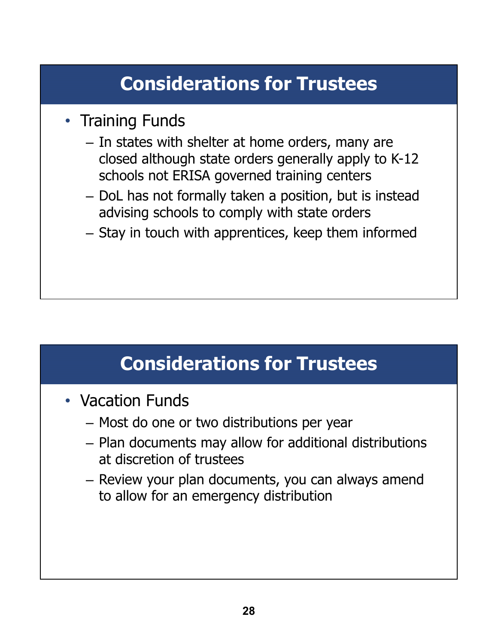- Training Funds
	- In states with shelter at home orders, many are closed although state orders generally apply to K-12 schools not ERISA governed training centers
	- DoL has not formally taken a position, but is instead advising schools to comply with state orders
	- Stay in touch with apprentices, keep them informed

- Vacation Funds
	- Most do one or two distributions per year
	- Plan documents may allow for additional distributions at discretion of trustees
	- Review your plan documents, you can always amend to allow for an emergency distribution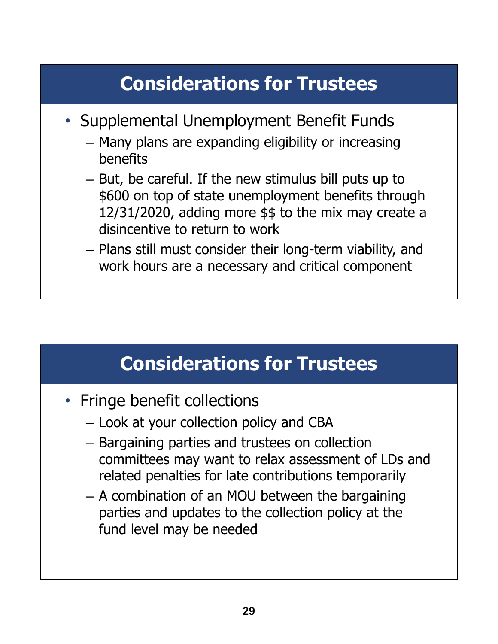- Supplemental Unemployment Benefit Funds
	- Many plans are expanding eligibility or increasing benefits
	- But, be careful. If the new stimulus bill puts up to \$600 on top of state unemployment benefits through 12/31/2020, adding more \$\$ to the mix may create a disincentive to return to work
	- Plans still must consider their long-term viability, and work hours are a necessary and critical component

- Fringe benefit collections
	- Look at your collection policy and CBA
	- Bargaining parties and trustees on collection committees may want to relax assessment of LDs and related penalties for late contributions temporarily
	- A combination of an MOU between the bargaining parties and updates to the collection policy at the fund level may be needed